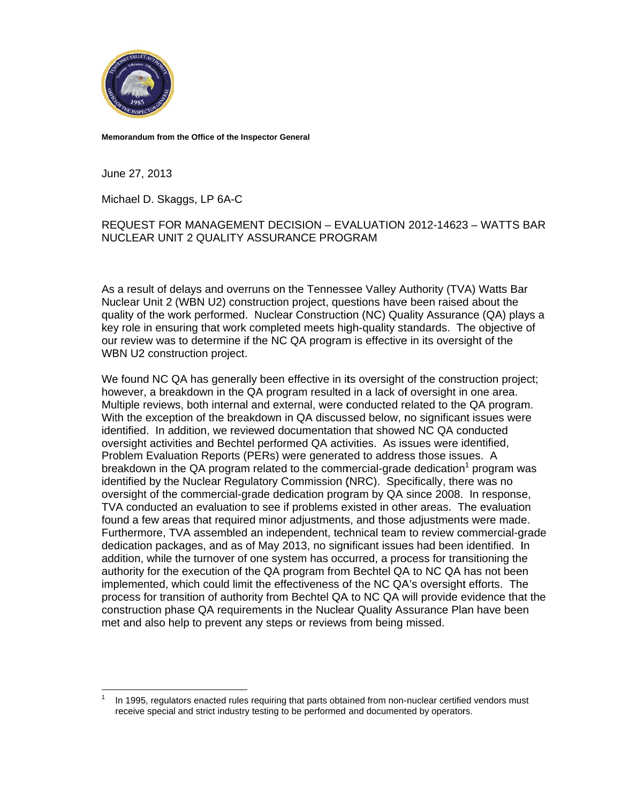

Memorandum from the Office of the Inspector General

June 27, 2013

Michael D. Skaggs, LP 6A-C

### REQUEST FOR MANAGEMENT DECISION - EVALUATION 2012-14623 - WATTS BAR NUCLEAR UNIT 2 QUALITY ASSURANCE PROGRAM

As a result of delays and overruns on the Tennessee Valley Authority (TVA) Watts Bar Nuclear Unit 2 (WBN U2) construction project, questions have been raised about the quality of the work performed. Nuclear Construction (NC) Quality Assurance (QA) plays a key role in ensuring that work completed meets high-quality standards. The objective of our review was to determine if the NC QA program is effective in its oversight of the WBN U2 construction project.

We found NC QA has generally been effective in its oversight of the construction project; however, a breakdown in the QA program resulted in a lack of oversight in one area. Multiple reviews, both internal and external, were conducted related to the QA program. With the exception of the breakdown in QA discussed below, no significant issues were identified. In addition, we reviewed documentation that showed NC QA conducted oversight activities and Bechtel performed QA activities. As issues were identified, Problem Evaluation Reports (PERs) were generated to address those issues. A breakdown in the QA program related to the commercial-grade dedication<sup>1</sup> program was identified by the Nuclear Regulatory Commission (NRC). Specifically, there was no oversight of the commercial-grade dedication program by QA since 2008. In response, TVA conducted an evaluation to see if problems existed in other areas. The evaluation found a few areas that required minor adjustments, and those adjustments were made. Furthermore, TVA assembled an independent, technical team to review commercial-grade dedication packages, and as of May 2013, no significant issues had been identified. In addition, while the turnover of one system has occurred, a process for transitioning the authority for the execution of the QA program from Bechtel QA to NC QA has not been implemented, which could limit the effectiveness of the NC QA's oversight efforts. The process for transition of authority from Bechtel QA to NC QA will provide evidence that the construction phase QA requirements in the Nuclear Quality Assurance Plan have been met and also help to prevent any steps or reviews from being missed.

In 1995, regulators enacted rules requiring that parts obtained from non-nuclear certified vendors must receive special and strict industry testing to be performed and documented by operators.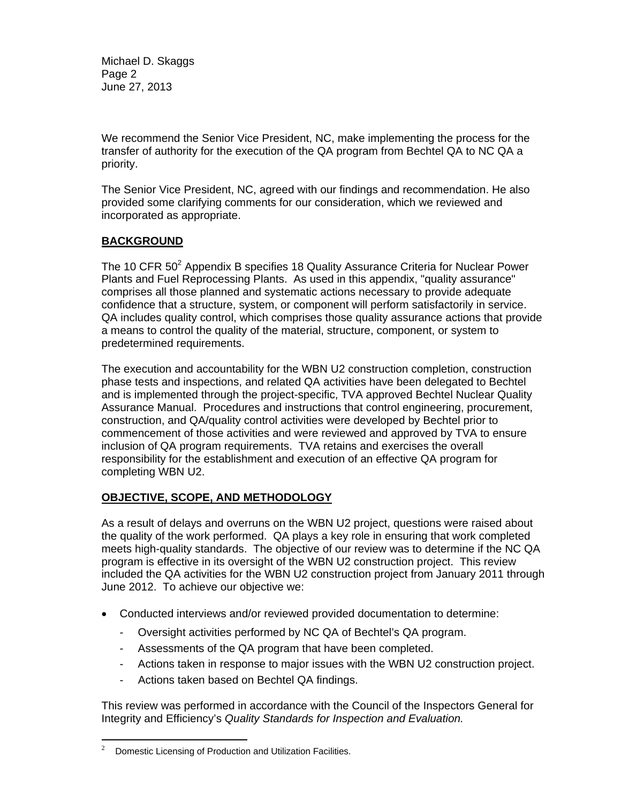Michael D. Skaggs Page 2 June 27, 2013

We recommend the Senior Vice President, NC, make implementing the process for the transfer of authority for the execution of the QA program from Bechtel QA to NC QA a priority.

The Senior Vice President, NC, agreed with our findings and recommendation. He also provided some clarifying comments for our consideration, which we reviewed and incorporated as appropriate.

## **BACKGROUND**

The 10 CFR  $50^2$  Appendix B specifies 18 Quality Assurance Criteria for Nuclear Power Plants and Fuel Reprocessing Plants. As used in this appendix, "quality assurance" comprises all those planned and systematic actions necessary to provide adequate confidence that a structure, system, or component will perform satisfactorily in service. QA includes quality control, which comprises those quality assurance actions that provide a means to control the quality of the material, structure, component, or system to predetermined requirements.

The execution and accountability for the WBN U2 construction completion, construction phase tests and inspections, and related QA activities have been delegated to Bechtel and is implemented through the project-specific, TVA approved Bechtel Nuclear Quality Assurance Manual. Procedures and instructions that control engineering, procurement, construction, and QA/quality control activities were developed by Bechtel prior to commencement of those activities and were reviewed and approved by TVA to ensure inclusion of QA program requirements. TVA retains and exercises the overall responsibility for the establishment and execution of an effective QA program for completing WBN U2.

## **OBJECTIVE, SCOPE, AND METHODOLOGY**

As a result of delays and overruns on the WBN U2 project, questions were raised about the quality of the work performed. QA plays a key role in ensuring that work completed meets high-quality standards. The objective of our review was to determine if the NC QA program is effective in its oversight of the WBN U2 construction project. This review included the QA activities for the WBN U2 construction project from January 2011 through June 2012. To achieve our objective we:

- Conducted interviews and/or reviewed provided documentation to determine:
	- Oversight activities performed by NC QA of Bechtel's QA program.
	- Assessments of the QA program that have been completed.
	- Actions taken in response to major issues with the WBN U2 construction project.
	- Actions taken based on Bechtel QA findings.

This review was performed in accordance with the Council of the Inspectors General for Integrity and Efficiency's *Quality Standards for Inspection and Evaluation.*

1

<sup>2</sup> Domestic Licensing of Production and Utilization Facilities.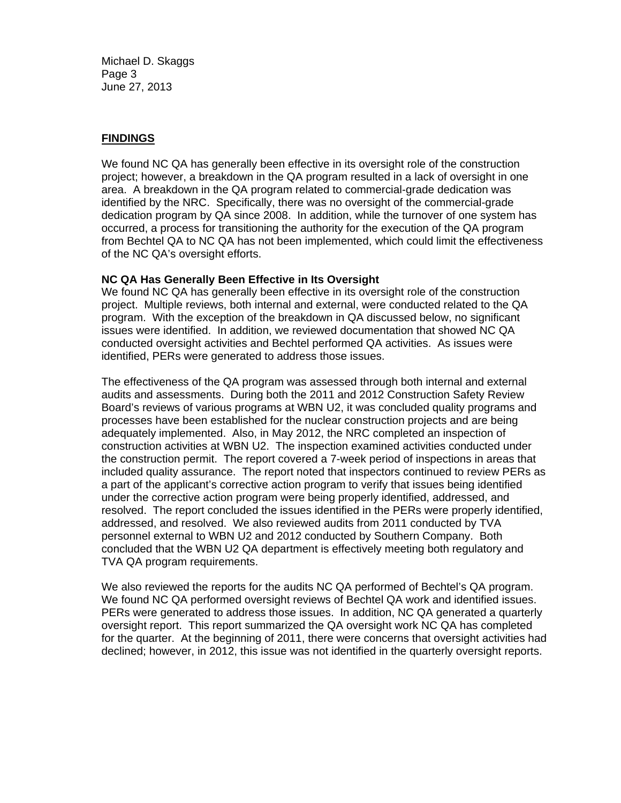Michael D. Skaggs Page 3 June 27, 2013

# **FINDINGS**

We found NC QA has generally been effective in its oversight role of the construction project; however, a breakdown in the QA program resulted in a lack of oversight in one area. A breakdown in the QA program related to commercial-grade dedication was identified by the NRC. Specifically, there was no oversight of the commercial-grade dedication program by QA since 2008. In addition, while the turnover of one system has occurred, a process for transitioning the authority for the execution of the QA program from Bechtel QA to NC QA has not been implemented, which could limit the effectiveness of the NC QA's oversight efforts.

### **NC QA Has Generally Been Effective in Its Oversight**

We found NC QA has generally been effective in its oversight role of the construction project. Multiple reviews, both internal and external, were conducted related to the QA program. With the exception of the breakdown in QA discussed below, no significant issues were identified. In addition, we reviewed documentation that showed NC QA conducted oversight activities and Bechtel performed QA activities. As issues were identified, PERs were generated to address those issues.

The effectiveness of the QA program was assessed through both internal and external audits and assessments. During both the 2011 and 2012 Construction Safety Review Board's reviews of various programs at WBN U2, it was concluded quality programs and processes have been established for the nuclear construction projects and are being adequately implemented. Also, in May 2012, the NRC completed an inspection of construction activities at WBN U2. The inspection examined activities conducted under the construction permit. The report covered a 7-week period of inspections in areas that included quality assurance. The report noted that inspectors continued to review PERs as a part of the applicant's corrective action program to verify that issues being identified under the corrective action program were being properly identified, addressed, and resolved. The report concluded the issues identified in the PERs were properly identified, addressed, and resolved. We also reviewed audits from 2011 conducted by TVA personnel external to WBN U2 and 2012 conducted by Southern Company. Both concluded that the WBN U2 QA department is effectively meeting both regulatory and TVA QA program requirements.

We also reviewed the reports for the audits NC QA performed of Bechtel's QA program. We found NC QA performed oversight reviews of Bechtel QA work and identified issues. PERs were generated to address those issues. In addition, NC QA generated a quarterly oversight report. This report summarized the QA oversight work NC QA has completed for the quarter. At the beginning of 2011, there were concerns that oversight activities had declined; however, in 2012, this issue was not identified in the quarterly oversight reports.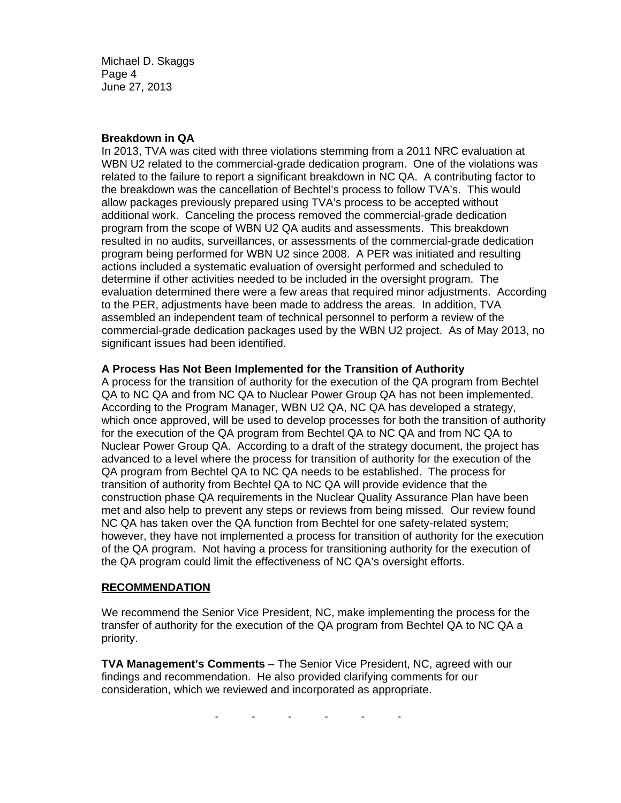Michael D. Skaggs Page 4 June 27, 2013

#### **Breakdown in QA**

In 2013, TVA was cited with three violations stemming from a 2011 NRC evaluation at WBN U2 related to the commercial-grade dedication program. One of the violations was related to the failure to report a significant breakdown in NC QA. A contributing factor to the breakdown was the cancellation of Bechtel's process to follow TVA's. This would allow packages previously prepared using TVA's process to be accepted without additional work. Canceling the process removed the commercial-grade dedication program from the scope of WBN U2 QA audits and assessments. This breakdown resulted in no audits, surveillances, or assessments of the commercial-grade dedication program being performed for WBN U2 since 2008. A PER was initiated and resulting actions included a systematic evaluation of oversight performed and scheduled to determine if other activities needed to be included in the oversight program. The evaluation determined there were a few areas that required minor adjustments. According to the PER, adjustments have been made to address the areas. In addition, TVA assembled an independent team of technical personnel to perform a review of the commercial-grade dedication packages used by the WBN U2 project. As of May 2013, no significant issues had been identified.

### **A Process Has Not Been Implemented for the Transition of Authority**

A process for the transition of authority for the execution of the QA program from Bechtel QA to NC QA and from NC QA to Nuclear Power Group QA has not been implemented. According to the Program Manager, WBN U2 QA, NC QA has developed a strategy, which once approved, will be used to develop processes for both the transition of authority for the execution of the QA program from Bechtel QA to NC QA and from NC QA to Nuclear Power Group QA. According to a draft of the strategy document, the project has advanced to a level where the process for transition of authority for the execution of the QA program from Bechtel QA to NC QA needs to be established. The process for transition of authority from Bechtel QA to NC QA will provide evidence that the construction phase QA requirements in the Nuclear Quality Assurance Plan have been met and also help to prevent any steps or reviews from being missed. Our review found NC QA has taken over the QA function from Bechtel for one safety-related system; however, they have not implemented a process for transition of authority for the execution of the QA program. Not having a process for transitioning authority for the execution of the QA program could limit the effectiveness of NC QA's oversight efforts.

## **RECOMMENDATION**

We recommend the Senior Vice President, NC, make implementing the process for the transfer of authority for the execution of the QA program from Bechtel QA to NC QA a priority.

**TVA Management's Comments** – The Senior Vice President, NC, agreed with our findings and recommendation. He also provided clarifying comments for our consideration, which we reviewed and incorporated as appropriate.

- - - - - -